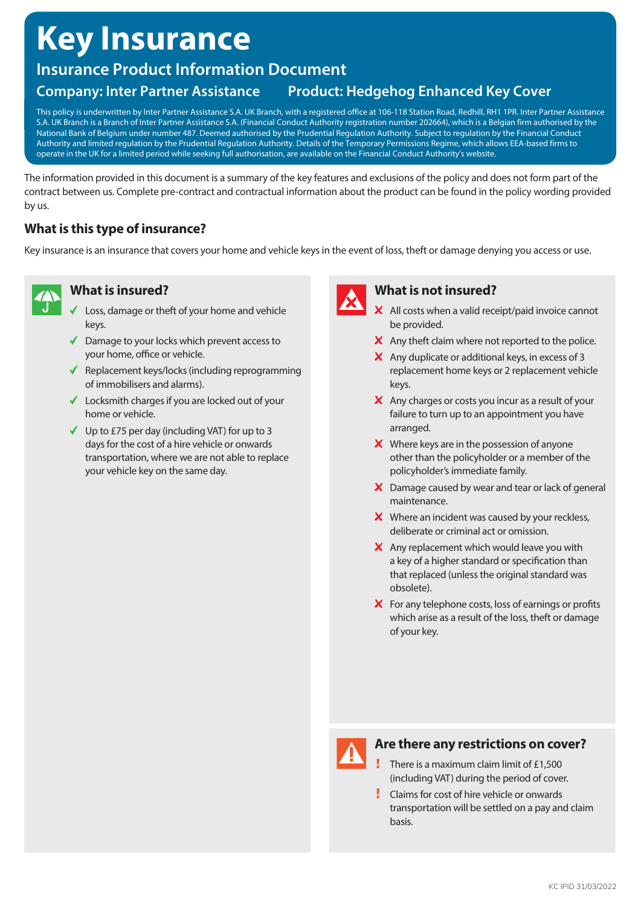# **Key Insurance**

# **Insurance Product Information Document**

# **Company: Inter Partner Assistance Product: Hedgehog Enhanced Key Cover**

This policy is underwritten by Inter Partner Assistance S.A. UK Branch, with a registered office at 106-118 Station Road, Redhill, RH1 1PR. Inter Partner Assistance S.A. UK Branch is a Branch of Inter Partner Assistance S.A. (Financial Conduct Authority registration number 202664), which is a Belgian firm authorised by the National Bank of Belgium under number 487. Deemed authorised by the Prudential Regulation Authority. Subject to regulation by the Financial Conduct Authority and limited regulation by the Prudential Regulation Authority. Details of the Temporary Permissions Regime, which allows EEA-based firms to operate in the UK for a limited period while seeking full authorisation, are available on the Financial Conduct Authority's website.

The information provided in this document is a summary of the key features and exclusions of the policy and does not form part of the contract between us. Complete pre-contract and contractual information about the product can be found in the policy wording provided by us.

# **What is this type of insurance?**

Key insurance is an insurance that covers your home and vehicle keys in the event of loss, theft or damage denying you access or use.



## **What is insured?**

- Loss, damage or theft of your home and vehicle keys.
- $\sqrt{\phantom{a}}$  Damage to your locks which prevent access to your home, office or vehicle.
- $\blacklozenge$  Replacement keys/locks (including reprogramming of immobilisers and alarms).
- $\checkmark$  Locksmith charges if you are locked out of your home or vehicle.
- $\checkmark$  Up to £75 per day (including VAT) for up to 3 days for the cost of a hire vehicle or onwards transportation, where we are not able to replace your vehicle key on the same day.



# **What is not insured?**

- X All costs when a valid receipt/paid invoice cannot be provided.
- $\boldsymbol{\times}$  Any theft claim where not reported to the police.
- $\boldsymbol{\times}$  Any duplicate or additional keys, in excess of 3 replacement home keys or 2 replacement vehicle keys.
- $\mathsf{\times}$  Any charges or costs you incur as a result of your failure to turn up to an appointment you have arranged.
- $\boldsymbol{\times}$  Where keys are in the possession of anyone other than the policyholder or a member of the policyholder's immediate family.
- X Damage caused by wear and tear or lack of general maintenance.
- **X** Where an incident was caused by your reckless, deliberate or criminal act or omission.
- $\boldsymbol{\times}$  Any replacement which would leave you with a key of a higher standard or specification than that replaced (unless the original standard was obsolete).
- $\boldsymbol{\times}$  For any telephone costs, loss of earnings or profits which arise as a result of the loss, theft or damage of your key.



# **Are there any restrictions on cover?**

- $\cdot$  There is a maximum claim limit of £1,500 (including VAT) during the period of cover.
- Claims for cost of hire vehicle or onwards transportation will be settled on a pay and claim basis.